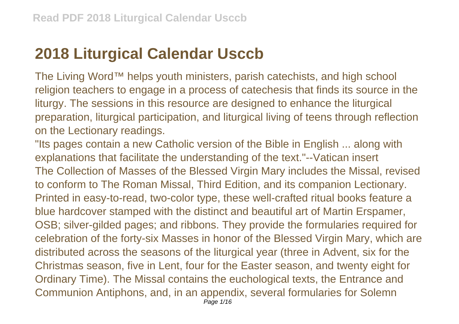## **2018 Liturgical Calendar Usccb**

The Living Word™ helps youth ministers, parish catechists, and high school religion teachers to engage in a process of catechesis that finds its source in the liturgy. The sessions in this resource are designed to enhance the liturgical preparation, liturgical participation, and liturgical living of teens through reflection on the Lectionary readings.

"Its pages contain a new Catholic version of the Bible in English ... along with explanations that facilitate the understanding of the text."--Vatican insert The Collection of Masses of the Blessed Virgin Mary includes the Missal, revised to conform to The Roman Missal, Third Edition, and its companion Lectionary. Printed in easy-to-read, two-color type, these well-crafted ritual books feature a blue hardcover stamped with the distinct and beautiful art of Martin Erspamer, OSB; silver-gilded pages; and ribbons. They provide the formularies required for celebration of the forty-six Masses in honor of the Blessed Virgin Mary, which are distributed across the seasons of the liturgical year (three in Advent, six for the Christmas season, five in Lent, four for the Easter season, and twenty eight for Ordinary Time). The Missal contains the euchological texts, the Entrance and Communion Antiphons, and, in an appendix, several formularies for Solemn Page 1/16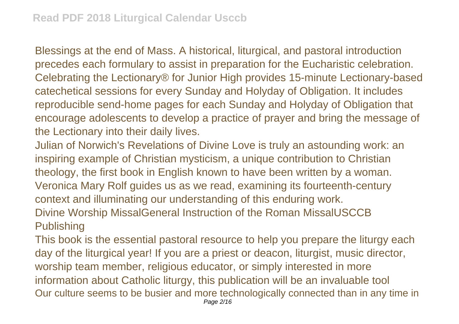Blessings at the end of Mass. A historical, liturgical, and pastoral introduction precedes each formulary to assist in preparation for the Eucharistic celebration. Celebrating the Lectionary® for Junior High provides 15-minute Lectionary-based catechetical sessions for every Sunday and Holyday of Obligation. It includes reproducible send-home pages for each Sunday and Holyday of Obligation that encourage adolescents to develop a practice of prayer and bring the message of the Lectionary into their daily lives.

Julian of Norwich's Revelations of Divine Love is truly an astounding work: an inspiring example of Christian mysticism, a unique contribution to Christian theology, the first book in English known to have been written by a woman. Veronica Mary Rolf guides us as we read, examining its fourteenth-century context and illuminating our understanding of this enduring work. Divine Worship MissalGeneral Instruction of the Roman MissalUSCCB Publishing

This book is the essential pastoral resource to help you prepare the liturgy each day of the liturgical year! If you are a priest or deacon, liturgist, music director, worship team member, religious educator, or simply interested in more information about Catholic liturgy, this publication will be an invaluable tool Our culture seems to be busier and more technologically connected than in any time in Page 2/16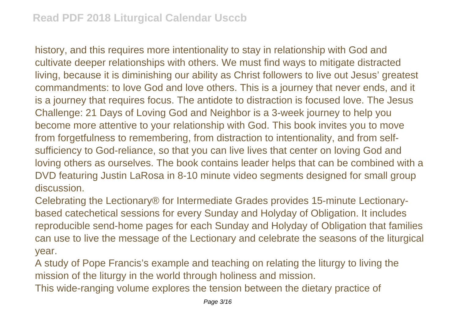history, and this requires more intentionality to stay in relationship with God and cultivate deeper relationships with others. We must find ways to mitigate distracted living, because it is diminishing our ability as Christ followers to live out Jesus' greatest commandments: to love God and love others. This is a journey that never ends, and it is a journey that requires focus. The antidote to distraction is focused love. The Jesus Challenge: 21 Days of Loving God and Neighbor is a 3-week journey to help you become more attentive to your relationship with God. This book invites you to move from forgetfulness to remembering, from distraction to intentionality, and from selfsufficiency to God-reliance, so that you can live lives that center on loving God and loving others as ourselves. The book contains leader helps that can be combined with a DVD featuring Justin LaRosa in 8-10 minute video segments designed for small group discussion.

Celebrating the Lectionary® for Intermediate Grades provides 15-minute Lectionarybased catechetical sessions for every Sunday and Holyday of Obligation. It includes reproducible send-home pages for each Sunday and Holyday of Obligation that families can use to live the message of the Lectionary and celebrate the seasons of the liturgical year.

A study of Pope Francis's example and teaching on relating the liturgy to living the mission of the liturgy in the world through holiness and mission.

This wide-ranging volume explores the tension between the dietary practice of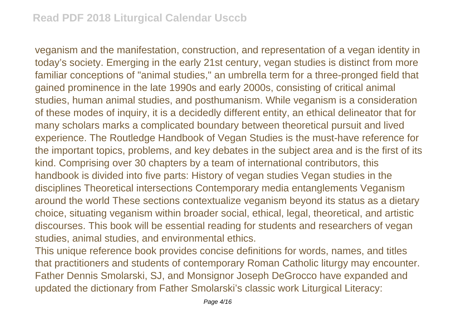veganism and the manifestation, construction, and representation of a vegan identity in today's society. Emerging in the early 21st century, vegan studies is distinct from more familiar conceptions of "animal studies," an umbrella term for a three-pronged field that gained prominence in the late 1990s and early 2000s, consisting of critical animal studies, human animal studies, and posthumanism. While veganism is a consideration of these modes of inquiry, it is a decidedly different entity, an ethical delineator that for many scholars marks a complicated boundary between theoretical pursuit and lived experience. The Routledge Handbook of Vegan Studies is the must-have reference for the important topics, problems, and key debates in the subject area and is the first of its kind. Comprising over 30 chapters by a team of international contributors, this handbook is divided into five parts: History of vegan studies Vegan studies in the disciplines Theoretical intersections Contemporary media entanglements Veganism around the world These sections contextualize veganism beyond its status as a dietary choice, situating veganism within broader social, ethical, legal, theoretical, and artistic discourses. This book will be essential reading for students and researchers of vegan studies, animal studies, and environmental ethics.

This unique reference book provides concise definitions for words, names, and titles that practitioners and students of contemporary Roman Catholic liturgy may encounter. Father Dennis Smolarski, SJ, and Monsignor Joseph DeGrocco have expanded and updated the dictionary from Father Smolarski's classic work Liturgical Literacy: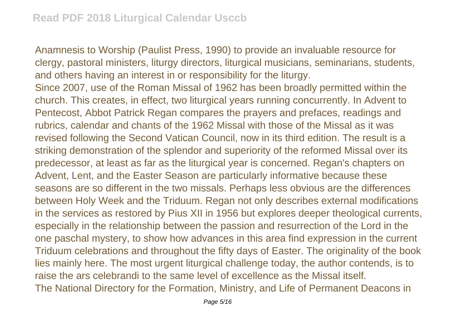Anamnesis to Worship (Paulist Press, 1990) to provide an invaluable resource for clergy, pastoral ministers, liturgy directors, liturgical musicians, seminarians, students, and others having an interest in or responsibility for the liturgy.

Since 2007, use of the Roman Missal of 1962 has been broadly permitted within the church. This creates, in effect, two liturgical years running concurrently. In Advent to Pentecost, Abbot Patrick Regan compares the prayers and prefaces, readings and rubrics, calendar and chants of the 1962 Missal with those of the Missal as it was revised following the Second Vatican Council, now in its third edition. The result is a striking demonstration of the splendor and superiority of the reformed Missal over its predecessor, at least as far as the liturgical year is concerned. Regan's chapters on Advent, Lent, and the Easter Season are particularly informative because these seasons are so different in the two missals. Perhaps less obvious are the differences between Holy Week and the Triduum. Regan not only describes external modifications in the services as restored by Pius XII in 1956 but explores deeper theological currents, especially in the relationship between the passion and resurrection of the Lord in the one paschal mystery, to show how advances in this area find expression in the current Triduum celebrations and throughout the fifty days of Easter. The originality of the book lies mainly here. The most urgent liturgical challenge today, the author contends, is to raise the ars celebrandi to the same level of excellence as the Missal itself. The National Directory for the Formation, Ministry, and Life of Permanent Deacons in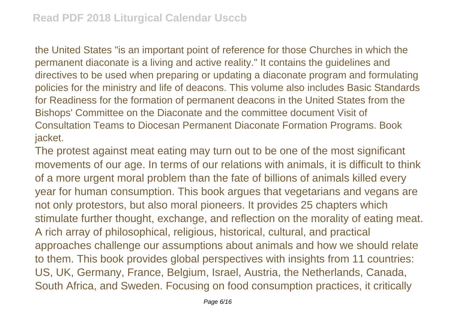the United States "is an important point of reference for those Churches in which the permanent diaconate is a living and active reality." It contains the guidelines and directives to be used when preparing or updating a diaconate program and formulating policies for the ministry and life of deacons. This volume also includes Basic Standards for Readiness for the formation of permanent deacons in the United States from the Bishops' Committee on the Diaconate and the committee document Visit of Consultation Teams to Diocesan Permanent Diaconate Formation Programs. Book jacket.

The protest against meat eating may turn out to be one of the most significant movements of our age. In terms of our relations with animals, it is difficult to think of a more urgent moral problem than the fate of billions of animals killed every year for human consumption. This book argues that vegetarians and vegans are not only protestors, but also moral pioneers. It provides 25 chapters which stimulate further thought, exchange, and reflection on the morality of eating meat. A rich array of philosophical, religious, historical, cultural, and practical approaches challenge our assumptions about animals and how we should relate to them. This book provides global perspectives with insights from 11 countries: US, UK, Germany, France, Belgium, Israel, Austria, the Netherlands, Canada, South Africa, and Sweden. Focusing on food consumption practices, it critically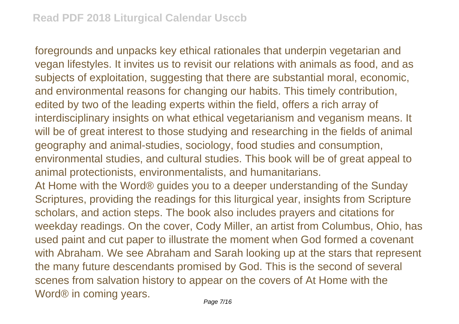foregrounds and unpacks key ethical rationales that underpin vegetarian and vegan lifestyles. It invites us to revisit our relations with animals as food, and as subjects of exploitation, suggesting that there are substantial moral, economic, and environmental reasons for changing our habits. This timely contribution, edited by two of the leading experts within the field, offers a rich array of interdisciplinary insights on what ethical vegetarianism and veganism means. It will be of great interest to those studying and researching in the fields of animal geography and animal-studies, sociology, food studies and consumption, environmental studies, and cultural studies. This book will be of great appeal to animal protectionists, environmentalists, and humanitarians.

At Home with the Word® guides you to a deeper understanding of the Sunday Scriptures, providing the readings for this liturgical year, insights from Scripture scholars, and action steps. The book also includes prayers and citations for weekday readings. On the cover, Cody Miller, an artist from Columbus, Ohio, has used paint and cut paper to illustrate the moment when God formed a covenant with Abraham. We see Abraham and Sarah looking up at the stars that represent the many future descendants promised by God. This is the second of several scenes from salvation history to appear on the covers of At Home with the Word<sup>®</sup> in coming years.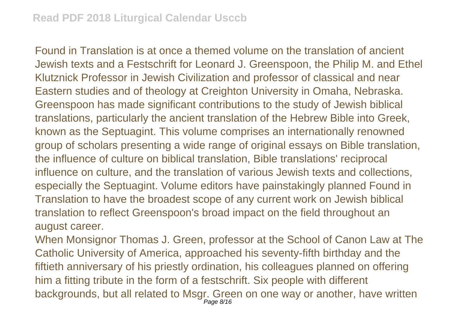Found in Translation is at once a themed volume on the translation of ancient Jewish texts and a Festschrift for Leonard J. Greenspoon, the Philip M. and Ethel Klutznick Professor in Jewish Civilization and professor of classical and near Eastern studies and of theology at Creighton University in Omaha, Nebraska. Greenspoon has made significant contributions to the study of Jewish biblical translations, particularly the ancient translation of the Hebrew Bible into Greek, known as the Septuagint. This volume comprises an internationally renowned group of scholars presenting a wide range of original essays on Bible translation, the influence of culture on biblical translation, Bible translations' reciprocal influence on culture, and the translation of various Jewish texts and collections, especially the Septuagint. Volume editors have painstakingly planned Found in Translation to have the broadest scope of any current work on Jewish biblical translation to reflect Greenspoon's broad impact on the field throughout an august career.

When Monsignor Thomas J. Green, professor at the School of Canon Law at The Catholic University of America, approached his seventy-fifth birthday and the fiftieth anniversary of his priestly ordination, his colleagues planned on offering him a fitting tribute in the form of a festschrift. Six people with different backgrounds, but all related to Msgr. Green on one way or another, have written Page 8/16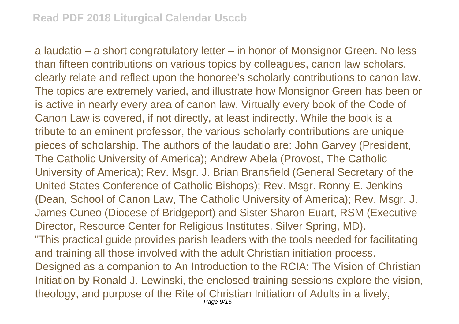a laudatio – a short congratulatory letter – in honor of Monsignor Green. No less than fifteen contributions on various topics by colleagues, canon law scholars, clearly relate and reflect upon the honoree's scholarly contributions to canon law. The topics are extremely varied, and illustrate how Monsignor Green has been or is active in nearly every area of canon law. Virtually every book of the Code of Canon Law is covered, if not directly, at least indirectly. While the book is a tribute to an eminent professor, the various scholarly contributions are unique pieces of scholarship. The authors of the laudatio are: John Garvey (President, The Catholic University of America); Andrew Abela (Provost, The Catholic University of America); Rev. Msgr. J. Brian Bransfield (General Secretary of the United States Conference of Catholic Bishops); Rev. Msgr. Ronny E. Jenkins (Dean, School of Canon Law, The Catholic University of America); Rev. Msgr. J. James Cuneo (Diocese of Bridgeport) and Sister Sharon Euart, RSM (Executive Director, Resource Center for Religious Institutes, Silver Spring, MD). "This practical guide provides parish leaders with the tools needed for facilitating and training all those involved with the adult Christian initiation process. Designed as a companion to An Introduction to the RCIA: The Vision of Christian Initiation by Ronald J. Lewinski, the enclosed training sessions explore the vision, theology, and purpose of the Rite of Christian Initiation of Adults in a lively,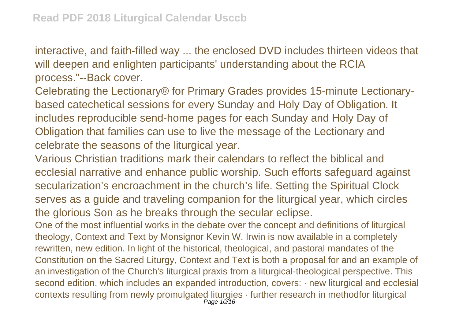interactive, and faith-filled way ... the enclosed DVD includes thirteen videos that will deepen and enlighten participants' understanding about the RCIA process."--Back cover.

Celebrating the Lectionary® for Primary Grades provides 15-minute Lectionarybased catechetical sessions for every Sunday and Holy Day of Obligation. It includes reproducible send-home pages for each Sunday and Holy Day of Obligation that families can use to live the message of the Lectionary and celebrate the seasons of the liturgical year.

Various Christian traditions mark their calendars to reflect the biblical and ecclesial narrative and enhance public worship. Such efforts safeguard against secularization's encroachment in the church's life. Setting the Spiritual Clock serves as a guide and traveling companion for the liturgical year, which circles the glorious Son as he breaks through the secular eclipse.

One of the most influential works in the debate over the concept and definitions of liturgical theology, Context and Text by Monsignor Kevin W. Irwin is now available in a completely rewritten, new edition. In light of the historical, theological, and pastoral mandates of the Constitution on the Sacred Liturgy, Context and Text is both a proposal for and an example of an investigation of the Church's liturgical praxis from a liturgical-theological perspective. This second edition, which includes an expanded introduction, covers:  $\cdot$  new liturgical and ecclesial contexts resulting from newly promulgated liturgies · further research in methodfor liturgical Page 10/16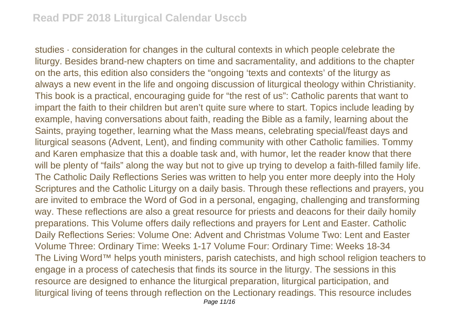studies · consideration for changes in the cultural contexts in which people celebrate the liturgy. Besides brand-new chapters on time and sacramentality, and additions to the chapter on the arts, this edition also considers the "ongoing 'texts and contexts' of the liturgy as always a new event in the life and ongoing discussion of liturgical theology within Christianity. This book is a practical, encouraging guide for "the rest of us": Catholic parents that want to impart the faith to their children but aren't quite sure where to start. Topics include leading by example, having conversations about faith, reading the Bible as a family, learning about the Saints, praying together, learning what the Mass means, celebrating special/feast days and liturgical seasons (Advent, Lent), and finding community with other Catholic families. Tommy and Karen emphasize that this a doable task and, with humor, let the reader know that there will be plenty of "fails" along the way but not to give up trying to develop a faith-filled family life. The Catholic Daily Reflections Series was written to help you enter more deeply into the Holy Scriptures and the Catholic Liturgy on a daily basis. Through these reflections and prayers, you are invited to embrace the Word of God in a personal, engaging, challenging and transforming way. These reflections are also a great resource for priests and deacons for their daily homily preparations. This Volume offers daily reflections and prayers for Lent and Easter. Catholic Daily Reflections Series: Volume One: Advent and Christmas Volume Two: Lent and Easter Volume Three: Ordinary Time: Weeks 1-17 Volume Four: Ordinary Time: Weeks 18-34 The Living Word™ helps youth ministers, parish catechists, and high school religion teachers to engage in a process of catechesis that finds its source in the liturgy. The sessions in this resource are designed to enhance the liturgical preparation, liturgical participation, and liturgical living of teens through reflection on the Lectionary readings. This resource includes Page 11/16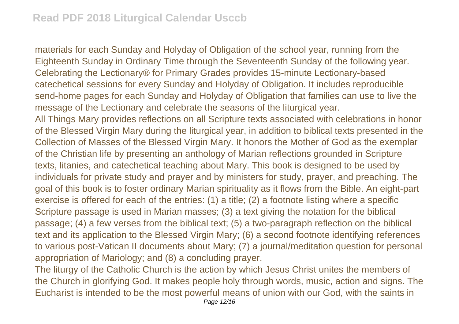materials for each Sunday and Holyday of Obligation of the school year, running from the Eighteenth Sunday in Ordinary Time through the Seventeenth Sunday of the following year. Celebrating the Lectionary® for Primary Grades provides 15-minute Lectionary-based catechetical sessions for every Sunday and Holyday of Obligation. It includes reproducible send-home pages for each Sunday and Holyday of Obligation that families can use to live the message of the Lectionary and celebrate the seasons of the liturgical year. All Things Mary provides reflections on all Scripture texts associated with celebrations in honor of the Blessed Virgin Mary during the liturgical year, in addition to biblical texts presented in the Collection of Masses of the Blessed Virgin Mary. It honors the Mother of God as the exemplar of the Christian life by presenting an anthology of Marian reflections grounded in Scripture texts, litanies, and catechetical teaching about Mary. This book is designed to be used by individuals for private study and prayer and by ministers for study, prayer, and preaching. The goal of this book is to foster ordinary Marian spirituality as it flows from the Bible. An eight-part exercise is offered for each of the entries: (1) a title; (2) a footnote listing where a specific Scripture passage is used in Marian masses; (3) a text giving the notation for the biblical passage; (4) a few verses from the biblical text; (5) a two-paragraph reflection on the biblical text and its application to the Blessed Virgin Mary; (6) a second footnote identifying references to various post-Vatican II documents about Mary; (7) a journal/meditation question for personal appropriation of Mariology; and (8) a concluding prayer.

The liturgy of the Catholic Church is the action by which Jesus Christ unites the members of the Church in glorifying God. It makes people holy through words, music, action and signs. The Eucharist is intended to be the most powerful means of union with our God, with the saints in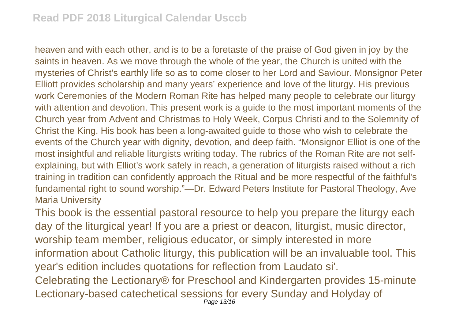heaven and with each other, and is to be a foretaste of the praise of God given in joy by the saints in heaven. As we move through the whole of the year, the Church is united with the mysteries of Christ's earthly life so as to come closer to her Lord and Saviour. Monsignor Peter Elliott provides scholarship and many years' experience and love of the liturgy. His previous work Ceremonies of the Modern Roman Rite has helped many people to celebrate our liturgy with attention and devotion. This present work is a guide to the most important moments of the Church year from Advent and Christmas to Holy Week, Corpus Christi and to the Solemnity of Christ the King. His book has been a long-awaited guide to those who wish to celebrate the events of the Church year with dignity, devotion, and deep faith. "Monsignor Elliot is one of the most insightful and reliable liturgists writing today. The rubrics of the Roman Rite are not selfexplaining, but with Elliot's work safely in reach, a generation of liturgists raised without a rich training in tradition can confidently approach the Ritual and be more respectful of the faithful's fundamental right to sound worship."—Dr. Edward Peters Institute for Pastoral Theology, Ave Maria University

This book is the essential pastoral resource to help you prepare the liturgy each day of the liturgical year! If you are a priest or deacon, liturgist, music director, worship team member, religious educator, or simply interested in more information about Catholic liturgy, this publication will be an invaluable tool. This year's edition includes quotations for reflection from Laudato si'.

Celebrating the Lectionary® for Preschool and Kindergarten provides 15-minute Lectionary-based catechetical sessions for every Sunday and Holyday of Page 13/16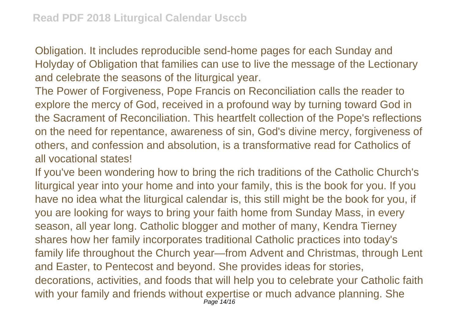Obligation. It includes reproducible send-home pages for each Sunday and Holyday of Obligation that families can use to live the message of the Lectionary and celebrate the seasons of the liturgical year.

The Power of Forgiveness, Pope Francis on Reconciliation calls the reader to explore the mercy of God, received in a profound way by turning toward God in the Sacrament of Reconciliation. This heartfelt collection of the Pope's reflections on the need for repentance, awareness of sin, God's divine mercy, forgiveness of others, and confession and absolution, is a transformative read for Catholics of all vocational states!

If you've been wondering how to bring the rich traditions of the Catholic Church's liturgical year into your home and into your family, this is the book for you. If you have no idea what the liturgical calendar is, this still might be the book for you, if you are looking for ways to bring your faith home from Sunday Mass, in every season, all year long. Catholic blogger and mother of many, Kendra Tierney shares how her family incorporates traditional Catholic practices into today's family life throughout the Church year—from Advent and Christmas, through Lent and Easter, to Pentecost and beyond. She provides ideas for stories, decorations, activities, and foods that will help you to celebrate your Catholic faith with your family and friends without expertise or much advance planning. She Page 14/16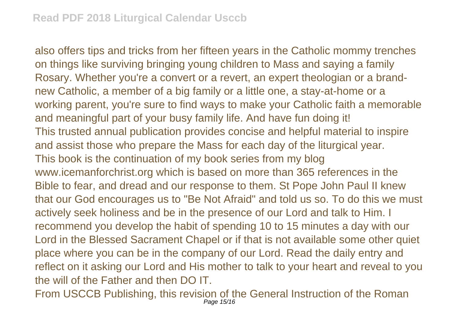also offers tips and tricks from her fifteen years in the Catholic mommy trenches on things like surviving bringing young children to Mass and saying a family Rosary. Whether you're a convert or a revert, an expert theologian or a brandnew Catholic, a member of a big family or a little one, a stay-at-home or a working parent, you're sure to find ways to make your Catholic faith a memorable and meaningful part of your busy family life. And have fun doing it! This trusted annual publication provides concise and helpful material to inspire and assist those who prepare the Mass for each day of the liturgical year. This book is the continuation of my book series from my blog www.icemanforchrist.org which is based on more than 365 references in the Bible to fear, and dread and our response to them. St Pope John Paul II knew that our God encourages us to "Be Not Afraid" and told us so. To do this we must actively seek holiness and be in the presence of our Lord and talk to Him. I recommend you develop the habit of spending 10 to 15 minutes a day with our Lord in the Blessed Sacrament Chapel or if that is not available some other quiet place where you can be in the company of our Lord. Read the daily entry and reflect on it asking our Lord and His mother to talk to your heart and reveal to you the will of the Father and then DO IT.

From USCCB Publishing, this revision of the General Instruction of the Roman Page 15/16